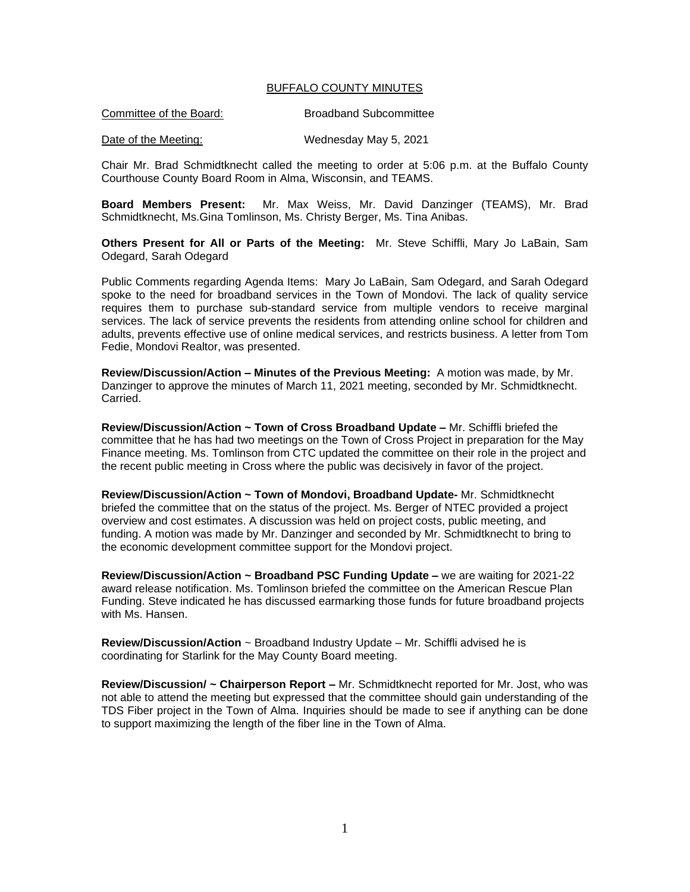## BUFFALO COUNTY MINUTES

Date of the Meeting: Wednesday May 5, 2021

Chair Mr. Brad Schmidtknecht called the meeting to order at 5:06 p.m. at the Buffalo County Courthouse County Board Room in Alma, Wisconsin, and TEAMS.

**Board Members Present:** Mr. Max Weiss, Mr. David Danzinger (TEAMS), Mr. Brad Schmidtknecht, Ms.Gina Tomlinson, Ms. Christy Berger, Ms. Tina Anibas.

**Others Present for All or Parts of the Meeting:** Mr. Steve Schiffli, Mary Jo LaBain, Sam Odegard, Sarah Odegard

Public Comments regarding Agenda Items: Mary Jo LaBain, Sam Odegard, and Sarah Odegard spoke to the need for broadband services in the Town of Mondovi. The lack of quality service requires them to purchase sub-standard service from multiple vendors to receive marginal services. The lack of service prevents the residents from attending online school for children and adults, prevents effective use of online medical services, and restricts business. A letter from Tom Fedie, Mondovi Realtor, was presented.

**Review/Discussion/Action – Minutes of the Previous Meeting:** A motion was made, by Mr. Danzinger to approve the minutes of March 11, 2021 meeting, seconded by Mr. Schmidtknecht. Carried.

**Review/Discussion/Action ~ Town of Cross Broadband Update –** Mr. Schiffli briefed the committee that he has had two meetings on the Town of Cross Project in preparation for the May Finance meeting. Ms. Tomlinson from CTC updated the committee on their role in the project and the recent public meeting in Cross where the public was decisively in favor of the project.

**Review/Discussion/Action ~ Town of Mondovi, Broadband Update-** Mr. Schmidtknecht briefed the committee that on the status of the project. Ms. Berger of NTEC provided a project overview and cost estimates. A discussion was held on project costs, public meeting, and funding. A motion was made by Mr. Danzinger and seconded by Mr. Schmidtknecht to bring to the economic development committee support for the Mondovi project.

**Review/Discussion/Action ~ Broadband PSC Funding Update –** we are waiting for 2021-22 award release notification. Ms. Tomlinson briefed the committee on the American Rescue Plan Funding. Steve indicated he has discussed earmarking those funds for future broadband projects with Ms. Hansen.

**Review/Discussion/Action** ~ Broadband Industry Update – Mr. Schiffli advised he is coordinating for Starlink for the May County Board meeting.

**Review/Discussion/ ~ Chairperson Report –** Mr. Schmidtknecht reported for Mr. Jost, who was not able to attend the meeting but expressed that the committee should gain understanding of the TDS Fiber project in the Town of Alma. Inquiries should be made to see if anything can be done to support maximizing the length of the fiber line in the Town of Alma.